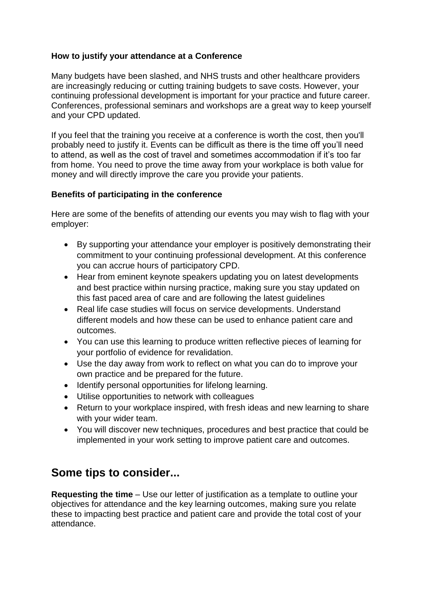## **How to justify your attendance at a Conference**

Many budgets have been slashed, and NHS trusts and other healthcare providers are increasingly reducing or cutting training budgets to save costs. However, your continuing professional development is important for your practice and future career. Conferences, professional seminars and workshops are a great way to keep yourself and your CPD updated.

If you feel that the training you receive at a conference is worth the cost, then you'll probably need to justify it. Events can be difficult as there is the time off you'll need to attend, as well as the cost of travel and sometimes accommodation if it's too far from home. You need to prove the time away from your workplace is both value for money and will directly improve the care you provide your patients.

## **Benefits of participating in the conference**

Here are some of the benefits of attending our events you may wish to flag with your employer:

- By supporting your attendance your employer is positively demonstrating their commitment to your continuing professional development. At this conference you can accrue hours of participatory CPD.
- Hear from eminent keynote speakers updating you on latest developments and best practice within nursing practice, making sure you stay updated on this fast paced area of care and are following the latest guidelines
- Real life case studies will focus on service developments. Understand different models and how these can be used to enhance patient care and outcomes.
- You can use this learning to produce written reflective pieces of learning for your portfolio of evidence for revalidation.
- Use the day away from work to reflect on what you can do to improve your own practice and be prepared for the future.
- Identify personal opportunities for lifelong learning.
- Utilise opportunities to network with colleagues
- Return to your workplace inspired, with fresh ideas and new learning to share with your wider team.
- You will discover new techniques, procedures and best practice that could be implemented in your work setting to improve patient care and outcomes.

## **Some tips to consider...**

**Requesting the time** – Use our letter of justification as a template to outline your objectives for attendance and the key learning outcomes, making sure you relate these to impacting best practice and patient care and provide the total cost of your attendance.